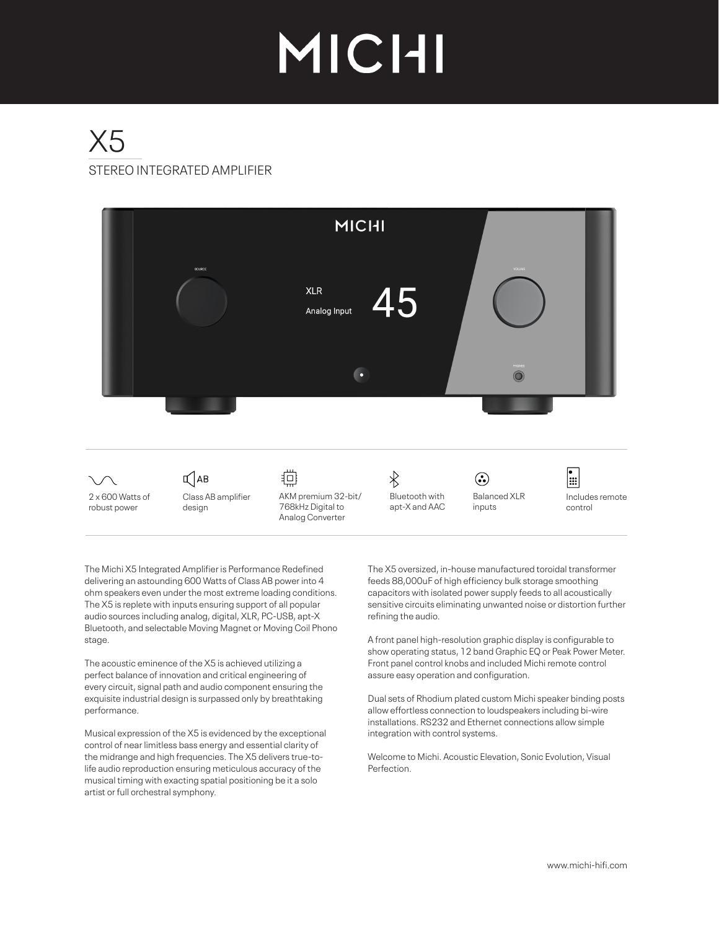# MICHI

## STEREO INTEGRATED AMPLIFIER X5



The Michi X5 Integrated Amplifier is Performance Redefined delivering an astounding 600 Watts of Class AB power into 4 ohm speakers even under the most extreme loading conditions. The X5 is replete with inputs ensuring support of all popular audio sources including analog, digital, XLR, PC-USB, apt-X Bluetooth, and selectable Moving Magnet or Moving Coil Phono stage.

The acoustic eminence of the X5 is achieved utilizing a perfect balance of innovation and critical engineering of every circuit, signal path and audio component ensuring the exquisite industrial design is surpassed only by breathtaking performance.

Musical expression of the X5 is evidenced by the exceptional control of near limitless bass energy and essential clarity of the midrange and high frequencies. The X5 delivers true-tolife audio reproduction ensuring meticulous accuracy of the musical timing with exacting spatial positioning be it a solo artist or full orchestral symphony.

The X5 oversized, in-house manufactured toroidal transformer feeds 88,000uF of high efficiency bulk storage smoothing capacitors with isolated power supply feeds to all acoustically sensitive circuits eliminating unwanted noise or distortion further refining the audio.

A front panel high-resolution graphic display is configurable to show operating status, 12 band Graphic EQ or Peak Power Meter. Front panel control knobs and included Michi remote control assure easy operation and configuration.

Dual sets of Rhodium plated custom Michi speaker binding posts allow effortless connection to loudspeakers including bi-wire installations. RS232 and Ethernet connections allow simple integration with control systems.

Welcome to Michi. Acoustic Elevation, Sonic Evolution, Visual Perfection.